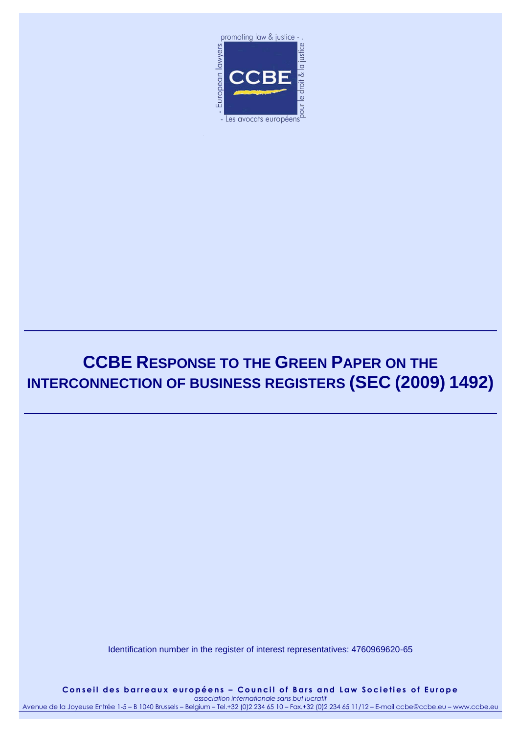

# **CCBE RESPONSE TO THE GREEN PAPER ON THE INTERCONNECTION OF BUSINESS REGISTERS (SEC (2009) 1492)**

Identification number in the register of interest representatives: 4760969620-65

Conseil des barreaux européens - Council of Bars and Law Societies of Europe *association internationale sans but lucratif*

Avenue de la Joyeuse Entrée 1-5 – B 1040 Brussels – Belgium – Tel.+32 (0)2 234 65 10 – Fax.+32 (0)2 234 65 11/12 – E-mail ccbe@ccbe.eu – www.ccbe.eu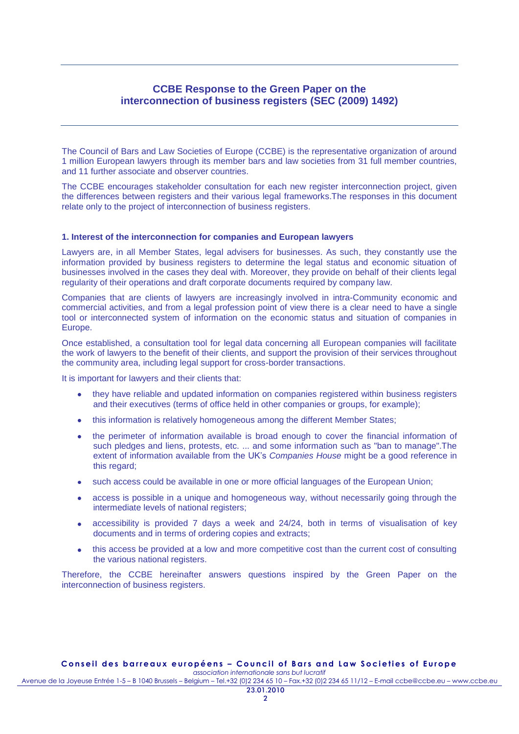## **CCBE Response to the Green Paper on the interconnection of business registers (SEC (2009) 1492)**

The Council of Bars and Law Societies of Europe (CCBE) is the representative organization of around 1 million European lawyers through its member bars and law societies from 31 full member countries, and 11 further associate and observer countries.

The CCBE encourages stakeholder consultation for each new register interconnection project, given the differences between registers and their various legal frameworks.The responses in this document relate only to the project of interconnection of business registers.

### **1. Interest of the interconnection for companies and European lawyers**

Lawyers are, in all Member States, legal advisers for businesses. As such, they constantly use the information provided by business registers to determine the legal status and economic situation of businesses involved in the cases they deal with. Moreover, they provide on behalf of their clients legal regularity of their operations and draft corporate documents required by company law.

Companies that are clients of lawyers are increasingly involved in intra-Community economic and commercial activities, and from a legal profession point of view there is a clear need to have a single tool or interconnected system of information on the economic status and situation of companies in Europe.

Once established, a consultation tool for legal data concerning all European companies will facilitate the work of lawyers to the benefit of their clients, and support the provision of their services throughout the community area, including legal support for cross-border transactions.

It is important for lawyers and their clients that:

- they have reliable and updated information on companies registered within business registers and their executives (terms of office held in other companies or groups, for example);
- this information is relatively homogeneous among the different Member States;
- the perimeter of information available is broad enough to cover the financial information of  $\bullet$ such pledges and liens, protests, etc. ... and some information such as "ban to manage". The extent of information available from the UK's *Companies House* might be a good reference in this regard:
- such access could be available in one or more official languages of the European Union;
- access is possible in a unique and homogeneous way, without necessarily going through the  $\bullet$ intermediate levels of national registers;
- accessibility is provided 7 days a week and 24/24, both in terms of visualisation of key  $\bullet$ documents and in terms of ordering copies and extracts;
- this access be provided at a low and more competitive cost than the current cost of consulting  $\bullet$ the various national registers.

Therefore, the CCBE hereinafter answers questions inspired by the Green Paper on the interconnection of business registers.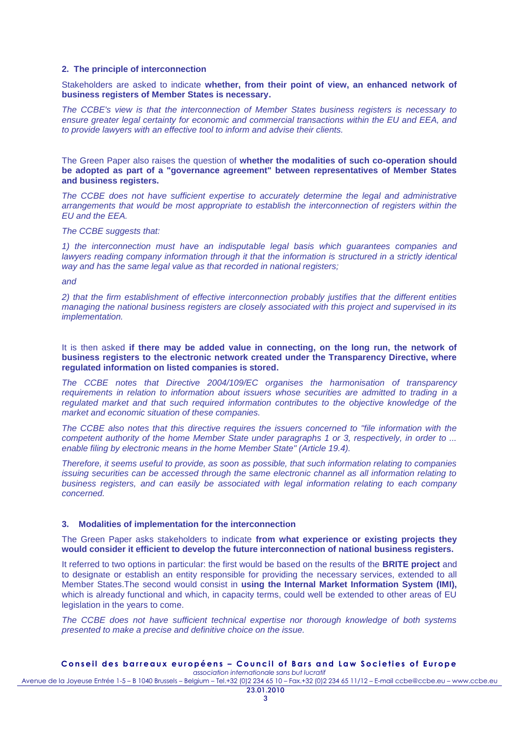### **2. The principle of interconnection**

Stakeholders are asked to indicate **whether, from their point of view, an enhanced network of business registers of Member States is necessary.**

*The CCBE's view is that the interconnection of Member States business registers is necessary to ensure greater legal certainty for economic and commercial transactions within the EU and EEA, and to provide lawyers with an effective tool to inform and advise their clients.*

The Green Paper also raises the question of **whether the modalities of such co-operation should be adopted as part of a "governance agreement" between representatives of Member States and business registers.**

*The CCBE does not have sufficient expertise to accurately determine the legal and administrative arrangements that would be most appropriate to establish the interconnection of registers within the EU and the EEA.* 

### *The CCBE suggests that:*

*1) the interconnection must have an indisputable legal basis which guarantees companies and lawyers reading company information through it that the information is structured in a strictly identical way and has the same legal value as that recorded in national registers;*

### *and*

*2) that the firm establishment of effective interconnection probably justifies that the different entities managing the national business registers are closely associated with this project and supervised in its implementation.*

It is then asked **if there may be added value in connecting, on the long run, the network of business registers to the electronic network created under the Transparency Directive, where regulated information on listed companies is stored.**

*The CCBE notes that Directive 2004/109/EC organises the harmonisation of transparency requirements in relation to information about issuers whose securities are admitted to trading in a*  regulated market and that such required information contributes to the objective knowledge of the *market and economic situation of these companies.* 

*The CCBE also notes that this directive requires the issuers concerned to "file information with the competent authority of the home Member State under paragraphs 1 or 3, respectively, in order to ... enable filing by electronic means in the home Member State" (Article 19.4).*

*Therefore, it seems useful to provide, as soon as possible, that such information relating to companies issuing securities can be accessed through the same electronic channel as all information relating to business registers, and can easily be associated with legal information relating to each company concerned.*

#### **3. Modalities of implementation for the interconnection**

The Green Paper asks stakeholders to indicate **from what experience or existing projects they would consider it efficient to develop the future interconnection of national business registers.**

It referred to two options in particular: the first would be based on the results of the **BRITE project** and to designate or establish an entity responsible for providing the necessary services, extended to all Member States.The second would consist in **using the Internal Market Information System (IMI),** which is already functional and which, in capacity terms, could well be extended to other areas of EU legislation in the years to come.

*The CCBE does not have sufficient technical expertise nor thorough knowledge of both systems presented to make a precise and definitive choice on the issue.*

#### Conseil des barreaux européens - Council of Bars and Law Societies of Europe *association internationale sans but lucratif*

Avenue de la Joyeuse Entrée 1-5 – B 1040 Brussels – Belgium – Tel.+32 (0)2 234 65 10 – Fax.+32 (0)2 234 65 11/12 – E-mail ccbe@ccbe.eu – www.ccbe.eu